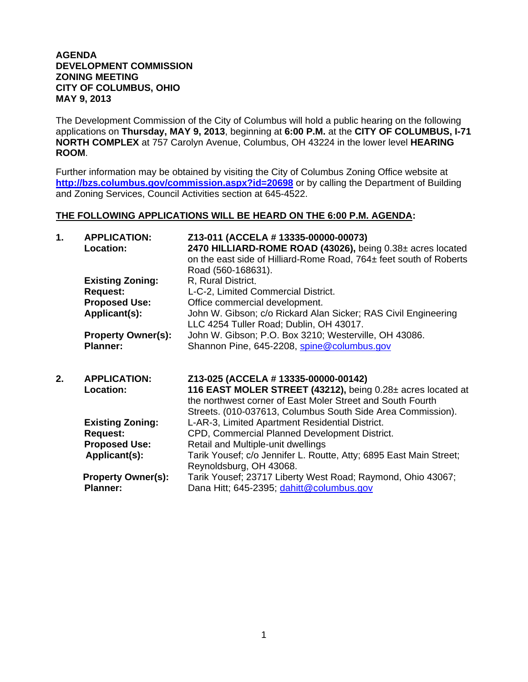## **AGENDA DEVELOPMENT COMMISSION ZONING MEETING CITY OF COLUMBUS, OHIO MAY 9, 2013**

The Development Commission of the City of Columbus will hold a public hearing on the following applications on **Thursday, MAY 9, 2013**, beginning at **6:00 P.M.** at the **CITY OF COLUMBUS, I-71 NORTH COMPLEX** at 757 Carolyn Avenue, Columbus, OH 43224 in the lower level **HEARING ROOM**.

Further information may be obtained by visiting the City of Columbus Zoning Office website at **http://bzs.columbus.gov/commission.aspx?id=20698** or by calling the Department of Building and Zoning Services, Council Activities section at 645-4522.

## **THE FOLLOWING APPLICATIONS WILL BE HEARD ON THE 6:00 P.M. AGENDA:**

| $\mathbf{1}$ . | <b>APPLICATION:</b><br>Location:           | Z13-011 (ACCELA # 13335-00000-00073)<br>2470 HILLIARD-ROME ROAD (43026), being 0.38± acres located<br>on the east side of Hilliard-Rome Road, 764± feet south of Roberts<br>Road (560-168631). |
|----------------|--------------------------------------------|------------------------------------------------------------------------------------------------------------------------------------------------------------------------------------------------|
|                | <b>Existing Zoning:</b>                    | R, Rural District.                                                                                                                                                                             |
|                | <b>Request:</b><br><b>Proposed Use:</b>    | L-C-2, Limited Commercial District.<br>Office commercial development.                                                                                                                          |
|                | Applicant(s):                              | John W. Gibson; c/o Rickard Alan Sicker; RAS Civil Engineering<br>LLC 4254 Tuller Road; Dublin, OH 43017.                                                                                      |
|                | <b>Property Owner(s):</b>                  | John W. Gibson; P.O. Box 3210; Westerville, OH 43086.                                                                                                                                          |
|                | <b>Planner:</b>                            | Shannon Pine, 645-2208, spine@columbus.gov                                                                                                                                                     |
|                |                                            |                                                                                                                                                                                                |
| 2.             | <b>APPLICATION:</b><br>Location:           | Z13-025 (ACCELA # 13335-00000-00142)<br>116 EAST MOLER STREET (43212), being 0.28± acres located at<br>the northwest corner of East Moler Street and South Fourth                              |
|                |                                            | Streets. (010-037613, Columbus South Side Area Commission).                                                                                                                                    |
|                | <b>Existing Zoning:</b><br><b>Request:</b> | L-AR-3, Limited Apartment Residential District.<br>CPD, Commercial Planned Development District.                                                                                               |
|                | <b>Proposed Use:</b>                       | Retail and Multiple-unit dwellings                                                                                                                                                             |
|                | Applicant(s):                              | Tarik Yousef; c/o Jennifer L. Routte, Atty; 6895 East Main Street;<br>Reynoldsburg, OH 43068.                                                                                                  |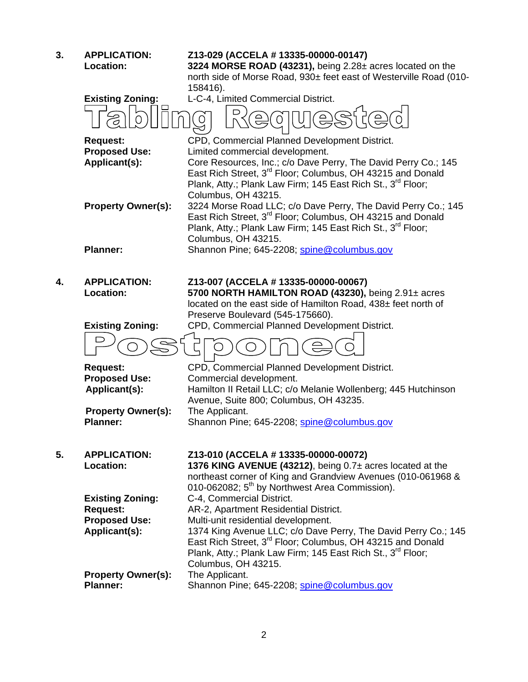| 3. | <b>APPLICATION:</b><br><b>Location:</b>      | Z13-029 (ACCELA # 13335-00000-00147)<br>3224 MORSE ROAD (43231), being 2.28± acres located on the<br>north side of Morse Road, 930± feet east of Westerville Road (010-<br>158416).                                            |
|----|----------------------------------------------|--------------------------------------------------------------------------------------------------------------------------------------------------------------------------------------------------------------------------------|
|    | <b>Existing Zoning:</b>                      | L-C-4, Limited Commercial District.                                                                                                                                                                                            |
|    |                                              |                                                                                                                                                                                                                                |
|    | <b>Request:</b>                              | CPD, Commercial Planned Development District.                                                                                                                                                                                  |
|    | <b>Proposed Use:</b>                         | Limited commercial development.                                                                                                                                                                                                |
|    | Applicant(s):                                | Core Resources, Inc.; c/o Dave Perry, The David Perry Co.; 145<br>East Rich Street, 3 <sup>rd</sup> Floor; Columbus, OH 43215 and Donald<br>Plank, Atty.; Plank Law Firm; 145 East Rich St., 3rd Floor;<br>Columbus, OH 43215. |
|    | <b>Property Owner(s):</b>                    | 3224 Morse Road LLC; c/o Dave Perry, The David Perry Co.; 145                                                                                                                                                                  |
|    |                                              | East Rich Street, 3 <sup>rd</sup> Floor; Columbus, OH 43215 and Donald<br>Plank, Atty.; Plank Law Firm; 145 East Rich St., 3rd Floor;<br>Columbus, OH 43215.                                                                   |
|    | <b>Planner:</b>                              | Shannon Pine; 645-2208; spine@columbus.gov                                                                                                                                                                                     |
|    |                                              |                                                                                                                                                                                                                                |
| 4. | <b>APPLICATION:</b><br>Location:             | Z13-007 (ACCELA # 13335-00000-00067)<br>5700 NORTH HAMILTON ROAD (43230), being 2.91± acres                                                                                                                                    |
|    |                                              | located on the east side of Hamilton Road, 438± feet north of                                                                                                                                                                  |
|    |                                              | Preserve Boulevard (545-175660).                                                                                                                                                                                               |
|    | <b>Existing Zoning:</b>                      | CPD, Commercial Planned Development District.                                                                                                                                                                                  |
|    |                                              |                                                                                                                                                                                                                                |
|    | <b>Request:</b>                              | CPD, Commercial Planned Development District.                                                                                                                                                                                  |
|    | <b>Proposed Use:</b>                         | Commercial development.                                                                                                                                                                                                        |
|    | Applicant(s):                                | Hamilton II Retail LLC; c/o Melanie Wollenberg; 445 Hutchinson                                                                                                                                                                 |
|    |                                              | Avenue, Suite 800; Columbus, OH 43235.                                                                                                                                                                                         |
|    | <b>Property Owner(s):</b><br><b>Planner:</b> | The Applicant.<br>Shannon Pine; 645-2208; spine@columbus.gov                                                                                                                                                                   |
|    |                                              |                                                                                                                                                                                                                                |
|    |                                              |                                                                                                                                                                                                                                |
| 5. | <b>APPLICATION:</b>                          | Z13-010 (ACCELA # 13335-00000-00072)                                                                                                                                                                                           |
|    | <b>Location:</b>                             | 1376 KING AVENUE (43212), being 0.7± acres located at the                                                                                                                                                                      |
|    |                                              | northeast corner of King and Grandview Avenues (010-061968 &                                                                                                                                                                   |
|    |                                              | 010-062082; 5 <sup>th</sup> by Northwest Area Commission).<br>C-4, Commercial District.                                                                                                                                        |
|    | <b>Existing Zoning:</b><br><b>Request:</b>   | AR-2, Apartment Residential District.                                                                                                                                                                                          |
|    | <b>Proposed Use:</b>                         | Multi-unit residential development.                                                                                                                                                                                            |
|    | Applicant(s):                                | 1374 King Avenue LLC; c/o Dave Perry, The David Perry Co.; 145                                                                                                                                                                 |
|    |                                              | East Rich Street, 3 <sup>rd</sup> Floor; Columbus, OH 43215 and Donald                                                                                                                                                         |
|    |                                              | Plank, Atty.; Plank Law Firm; 145 East Rich St., 3 <sup>rd</sup> Floor;                                                                                                                                                        |
|    |                                              | Columbus, OH 43215.                                                                                                                                                                                                            |
|    | <b>Property Owner(s):</b>                    | The Applicant.                                                                                                                                                                                                                 |
|    | <b>Planner:</b>                              | Shannon Pine; 645-2208; spine@columbus.gov                                                                                                                                                                                     |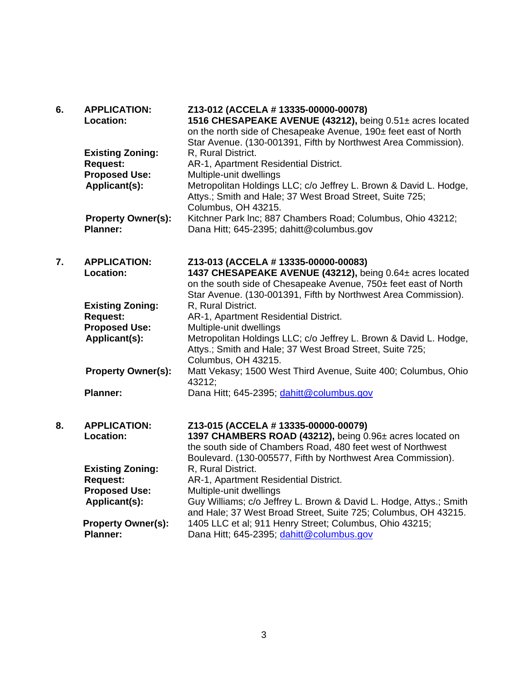| 6. | <b>APPLICATION:</b><br>Location:           | Z13-012 (ACCELA # 13335-00000-00078)<br>1516 CHESAPEAKE AVENUE (43212), being 0.51± acres located<br>on the north side of Chesapeake Avenue, 190± feet east of North<br>Star Avenue. (130-001391, Fifth by Northwest Area Commission). |
|----|--------------------------------------------|----------------------------------------------------------------------------------------------------------------------------------------------------------------------------------------------------------------------------------------|
|    | <b>Existing Zoning:</b>                    | R, Rural District.                                                                                                                                                                                                                     |
|    | <b>Request:</b>                            | AR-1, Apartment Residential District.                                                                                                                                                                                                  |
|    | <b>Proposed Use:</b>                       | Multiple-unit dwellings                                                                                                                                                                                                                |
|    | Applicant(s):                              | Metropolitan Holdings LLC; c/o Jeffrey L. Brown & David L. Hodge,<br>Attys.; Smith and Hale; 37 West Broad Street, Suite 725;<br>Columbus, OH 43215.                                                                                   |
|    | <b>Property Owner(s):</b>                  | Kitchner Park Inc; 887 Chambers Road; Columbus, Ohio 43212;                                                                                                                                                                            |
|    | <b>Planner:</b>                            | Dana Hitt; 645-2395; dahitt@columbus.gov                                                                                                                                                                                               |
| 7. | <b>APPLICATION:</b>                        | Z13-013 (ACCELA # 13335-00000-00083)                                                                                                                                                                                                   |
|    | Location:                                  | 1437 CHESAPEAKE AVENUE (43212), being 0.64± acres located<br>on the south side of Chesapeake Avenue, 750± feet east of North<br>Star Avenue. (130-001391, Fifth by Northwest Area Commission).                                         |
|    | <b>Existing Zoning:</b><br><b>Request:</b> | R, Rural District.<br>AR-1, Apartment Residential District.                                                                                                                                                                            |
|    | <b>Proposed Use:</b>                       | Multiple-unit dwellings                                                                                                                                                                                                                |
|    | Applicant(s):                              | Metropolitan Holdings LLC; c/o Jeffrey L. Brown & David L. Hodge,<br>Attys.; Smith and Hale; 37 West Broad Street, Suite 725;<br>Columbus, OH 43215.                                                                                   |
|    | <b>Property Owner(s):</b>                  | Matt Vekasy; 1500 West Third Avenue, Suite 400; Columbus, Ohio<br>43212;                                                                                                                                                               |
|    | <b>Planner:</b>                            | Dana Hitt; 645-2395; dahitt@columbus.gov                                                                                                                                                                                               |
| 8. | <b>APPLICATION:</b>                        | Z13-015 (ACCELA # 13335-00000-00079)                                                                                                                                                                                                   |
|    | Location:                                  | 1397 CHAMBERS ROAD (43212), being 0.96± acres located on<br>the south side of Chambers Road, 480 feet west of Northwest                                                                                                                |
|    |                                            | Boulevard. (130-005577, Fifth by Northwest Area Commission).                                                                                                                                                                           |
|    | <b>Existing Zoning:</b>                    | R, Rural District.                                                                                                                                                                                                                     |
|    | <b>Request:</b>                            | AR-1, Apartment Residential District.                                                                                                                                                                                                  |
|    | <b>Proposed Use:</b>                       | Multiple-unit dwellings<br>Guy Williams; c/o Jeffrey L. Brown & David L. Hodge, Attys.; Smith                                                                                                                                          |
|    | Applicant(s):                              | and Hale; 37 West Broad Street, Suite 725; Columbus, OH 43215.                                                                                                                                                                         |
|    | <b>Property Owner(s):</b>                  | 1405 LLC et al; 911 Henry Street; Columbus, Ohio 43215;                                                                                                                                                                                |
|    | <b>Planner:</b>                            | Dana Hitt; 645-2395; dahitt@columbus.gov                                                                                                                                                                                               |
|    |                                            |                                                                                                                                                                                                                                        |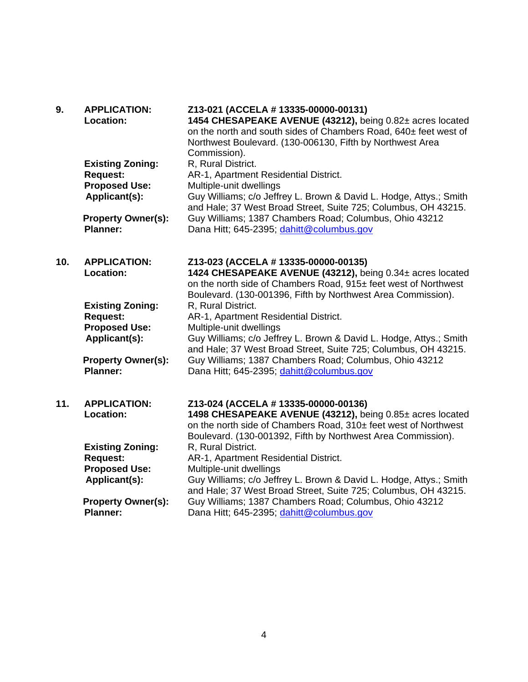| 9.  | <b>APPLICATION:</b><br>Location:             | Z13-021 (ACCELA # 13335-00000-00131)<br>1454 CHESAPEAKE AVENUE (43212), being 0.82± acres located<br>on the north and south sides of Chambers Road, 640± feet west of<br>Northwest Boulevard. (130-006130, Fifth by Northwest Area<br>Commission). |
|-----|----------------------------------------------|----------------------------------------------------------------------------------------------------------------------------------------------------------------------------------------------------------------------------------------------------|
|     | <b>Existing Zoning:</b>                      | R, Rural District.                                                                                                                                                                                                                                 |
|     | <b>Request:</b><br><b>Proposed Use:</b>      | AR-1, Apartment Residential District.<br>Multiple-unit dwellings                                                                                                                                                                                   |
|     | Applicant(s):                                | Guy Williams; c/o Jeffrey L. Brown & David L. Hodge, Attys.; Smith<br>and Hale; 37 West Broad Street, Suite 725; Columbus, OH 43215.                                                                                                               |
|     | <b>Property Owner(s):</b><br><b>Planner:</b> | Guy Williams; 1387 Chambers Road; Columbus, Ohio 43212<br>Dana Hitt; 645-2395; dahitt@columbus.gov                                                                                                                                                 |
| 10. | <b>APPLICATION:</b><br><b>Location:</b>      | Z13-023 (ACCELA # 13335-00000-00135)<br>1424 CHESAPEAKE AVENUE (43212), being 0.34± acres located<br>on the north side of Chambers Road, 915± feet west of Northwest<br>Boulevard. (130-001396, Fifth by Northwest Area Commission).               |
|     | <b>Existing Zoning:</b>                      | R, Rural District.                                                                                                                                                                                                                                 |
|     | <b>Request:</b>                              | AR-1, Apartment Residential District.                                                                                                                                                                                                              |
|     | <b>Proposed Use:</b><br>Applicant(s):        | Multiple-unit dwellings<br>Guy Williams; c/o Jeffrey L. Brown & David L. Hodge, Attys.; Smith<br>and Hale; 37 West Broad Street, Suite 725; Columbus, OH 43215.                                                                                    |
|     | <b>Property Owner(s):</b><br><b>Planner:</b> | Guy Williams; 1387 Chambers Road; Columbus, Ohio 43212<br>Dana Hitt; 645-2395; dahitt@columbus.gov                                                                                                                                                 |
| 11. | <b>APPLICATION:</b><br>Location:             | Z13-024 (ACCELA # 13335-00000-00136)<br>1498 CHESAPEAKE AVENUE (43212), being 0.85± acres located<br>on the north side of Chambers Road, 310± feet west of Northwest<br>Boulevard. (130-001392, Fifth by Northwest Area Commission).               |
|     | <b>Existing Zoning:</b>                      | R, Rural District.                                                                                                                                                                                                                                 |
|     | <b>Request:</b>                              | AR-1, Apartment Residential District.                                                                                                                                                                                                              |
|     | <b>Proposed Use:</b><br>Applicant(s):        | Multiple-unit dwellings<br>Guy Williams; c/o Jeffrey L. Brown & David L. Hodge, Attys.; Smith<br>and Hale; 37 West Broad Street, Suite 725; Columbus, OH 43215.                                                                                    |
|     | <b>Property Owner(s):</b><br><b>Planner:</b> | Guy Williams; 1387 Chambers Road; Columbus, Ohio 43212<br>Dana Hitt; 645-2395; dahitt@columbus.gov                                                                                                                                                 |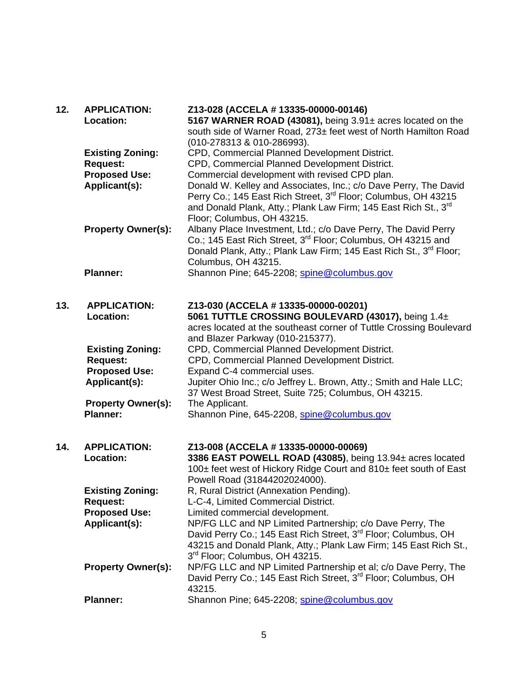| 12. | <b>APPLICATION:</b>       | Z13-028 (ACCELA # 13335-00000-00146)                                                                                                    |
|-----|---------------------------|-----------------------------------------------------------------------------------------------------------------------------------------|
|     | Location:                 | 5167 WARNER ROAD (43081), being 3.91± acres located on the                                                                              |
|     |                           | south side of Warner Road, 273± feet west of North Hamilton Road                                                                        |
|     |                           | (010-278313 & 010-286993).                                                                                                              |
|     | <b>Existing Zoning:</b>   | CPD, Commercial Planned Development District.                                                                                           |
|     | <b>Request:</b>           | CPD, Commercial Planned Development District.                                                                                           |
|     | <b>Proposed Use:</b>      | Commercial development with revised CPD plan.                                                                                           |
|     | Applicant(s):             | Donald W. Kelley and Associates, Inc.; c/o Dave Perry, The David                                                                        |
|     |                           | Perry Co.; 145 East Rich Street, 3 <sup>rd</sup> Floor; Columbus, OH 43215                                                              |
|     |                           | and Donald Plank, Atty.; Plank Law Firm; 145 East Rich St., 3 <sup>rd</sup>                                                             |
|     |                           | Floor; Columbus, OH 43215.                                                                                                              |
|     | <b>Property Owner(s):</b> | Albany Place Investment, Ltd.; c/o Dave Perry, The David Perry                                                                          |
|     |                           | Co.; 145 East Rich Street, 3 <sup>rd</sup> Floor; Columbus, OH 43215 and                                                                |
|     |                           | Donald Plank, Atty.; Plank Law Firm; 145 East Rich St., 3 <sup>rd</sup> Floor;                                                          |
|     |                           | Columbus, OH 43215.                                                                                                                     |
|     | <b>Planner:</b>           | Shannon Pine; 645-2208; spine@columbus.gov                                                                                              |
|     |                           |                                                                                                                                         |
| 13. | <b>APPLICATION:</b>       | Z13-030 (ACCELA # 13335-00000-00201)                                                                                                    |
|     | Location:                 | 5061 TUTTLE CROSSING BOULEVARD (43017), being 1.4±                                                                                      |
|     |                           | acres located at the southeast corner of Tuttle Crossing Boulevard                                                                      |
|     |                           | and Blazer Parkway (010-215377).                                                                                                        |
|     | <b>Existing Zoning:</b>   | CPD, Commercial Planned Development District.                                                                                           |
|     | <b>Request:</b>           | CPD, Commercial Planned Development District.                                                                                           |
|     | <b>Proposed Use:</b>      | Expand C-4 commercial uses.                                                                                                             |
|     | Applicant(s):             | Jupiter Ohio Inc.; c/o Jeffrey L. Brown, Atty.; Smith and Hale LLC;                                                                     |
|     |                           | 37 West Broad Street, Suite 725; Columbus, OH 43215.                                                                                    |
|     | <b>Property Owner(s):</b> | The Applicant.                                                                                                                          |
|     | <b>Planner:</b>           | Shannon Pine, 645-2208, spine@columbus.gov                                                                                              |
|     |                           |                                                                                                                                         |
|     |                           |                                                                                                                                         |
| 14. | <b>APPLICATION:</b>       | Z13-008 (ACCELA # 13335-00000-00069)                                                                                                    |
|     | Location:                 | 3386 EAST POWELL ROAD (43085), being 13.94± acres located                                                                               |
|     |                           | 100± feet west of Hickory Ridge Court and 810± feet south of East                                                                       |
|     |                           | Powell Road (31844202024000).                                                                                                           |
|     | <b>Existing Zoning:</b>   | R, Rural District (Annexation Pending).<br>L-C-4, Limited Commercial District.                                                          |
|     | <b>Request:</b>           |                                                                                                                                         |
|     | <b>Proposed Use:</b>      | Limited commercial development.                                                                                                         |
|     | Applicant(s):             | NP/FG LLC and NP Limited Partnership; c/o Dave Perry, The<br>David Perry Co.; 145 East Rich Street, 3 <sup>rd</sup> Floor; Columbus, OH |
|     |                           |                                                                                                                                         |
|     |                           | 43215 and Donald Plank, Atty.; Plank Law Firm; 145 East Rich St.,<br>3rd Floor; Columbus, OH 43215.                                     |
|     | <b>Property Owner(s):</b> | NP/FG LLC and NP Limited Partnership et al; c/o Dave Perry, The                                                                         |
|     |                           | David Perry Co.; 145 East Rich Street, 3 <sup>rd</sup> Floor; Columbus, OH                                                              |
|     |                           | 43215.                                                                                                                                  |
|     | <b>Planner:</b>           | Shannon Pine; 645-2208; spine@columbus.gov                                                                                              |
|     |                           |                                                                                                                                         |